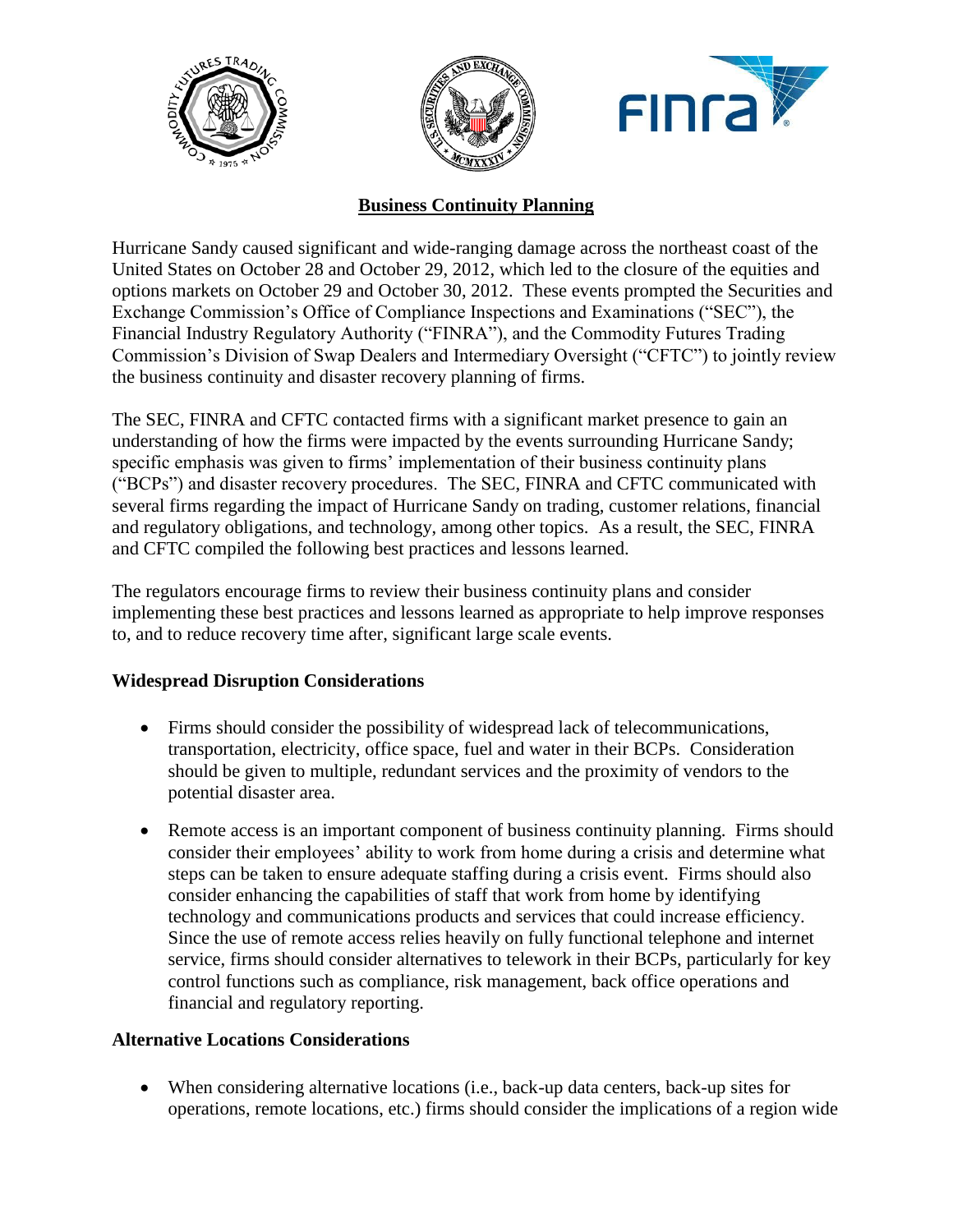





# **Business Continuity Planning**

Hurricane Sandy caused significant and wide-ranging damage across the northeast coast of the United States on October 28 and October 29, 2012, which led to the closure of the equities and options markets on October 29 and October 30, 2012. These events prompted the Securities and Exchange Commission's Office of Compliance Inspections and Examinations ("SEC"), the Financial Industry Regulatory Authority ("FINRA"), and the Commodity Futures Trading Commission's Division of Swap Dealers and Intermediary Oversight ("CFTC") to jointly review the business continuity and disaster recovery planning of firms.

The SEC, FINRA and CFTC contacted firms with a significant market presence to gain an understanding of how the firms were impacted by the events surrounding Hurricane Sandy; specific emphasis was given to firms' implementation of their business continuity plans ("BCPs") and disaster recovery procedures. The SEC, FINRA and CFTC communicated with several firms regarding the impact of Hurricane Sandy on trading, customer relations, financial and regulatory obligations, and technology, among other topics. As a result, the SEC, FINRA and CFTC compiled the following best practices and lessons learned.

The regulators encourage firms to review their business continuity plans and consider implementing these best practices and lessons learned as appropriate to help improve responses to, and to reduce recovery time after, significant large scale events.

## **Widespread Disruption Considerations**

- Firms should consider the possibility of widespread lack of telecommunications, transportation, electricity, office space, fuel and water in their BCPs. Consideration should be given to multiple, redundant services and the proximity of vendors to the potential disaster area.
- Remote access is an important component of business continuity planning. Firms should consider their employees' ability to work from home during a crisis and determine what steps can be taken to ensure adequate staffing during a crisis event. Firms should also consider enhancing the capabilities of staff that work from home by identifying technology and communications products and services that could increase efficiency. Since the use of remote access relies heavily on fully functional telephone and internet service, firms should consider alternatives to telework in their BCPs, particularly for key control functions such as compliance, risk management, back office operations and financial and regulatory reporting.

## **Alternative Locations Considerations**

 When considering alternative locations (i.e., back-up data centers, back-up sites for operations, remote locations, etc.) firms should consider the implications of a region wide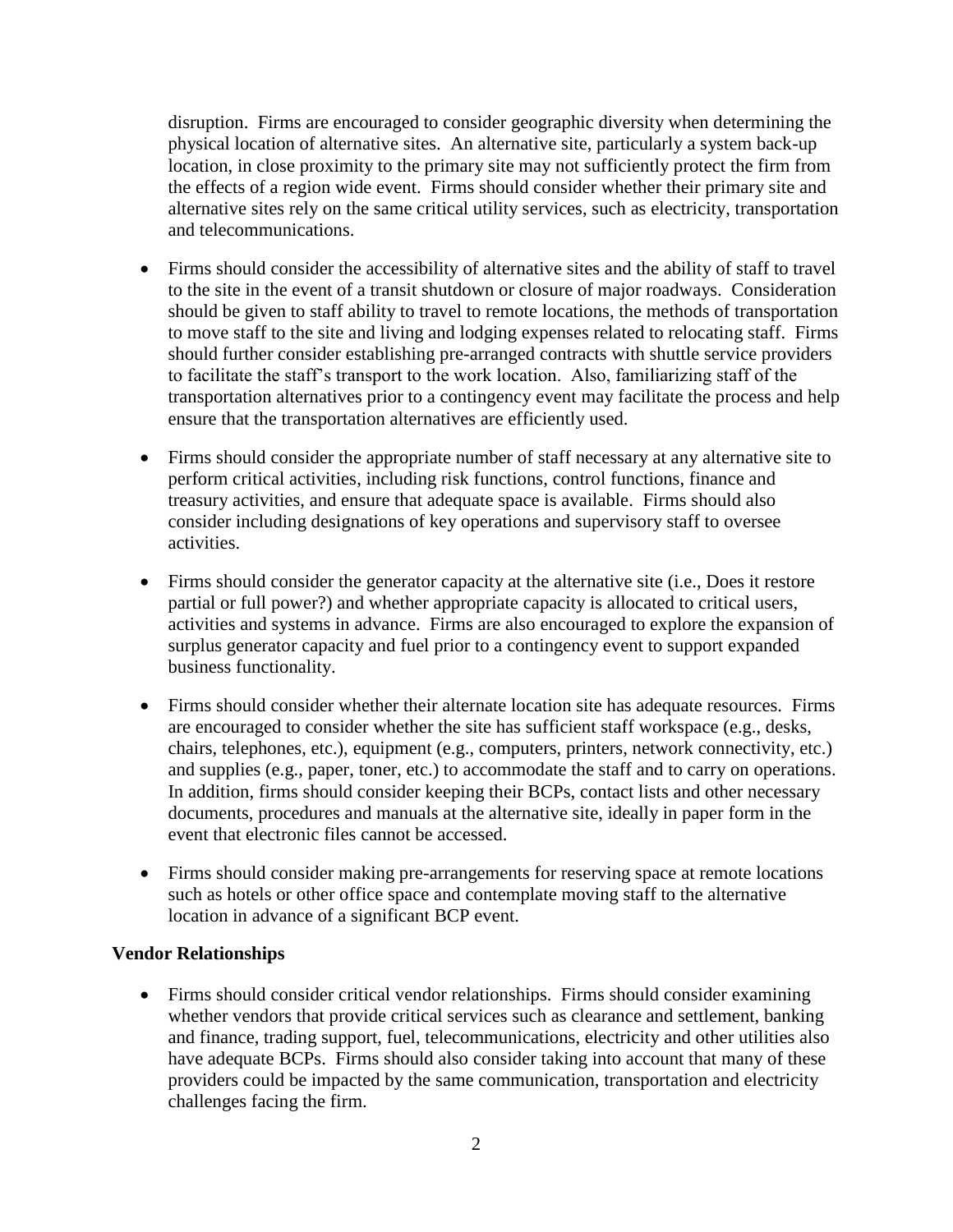disruption. Firms are encouraged to consider geographic diversity when determining the physical location of alternative sites. An alternative site, particularly a system back-up location, in close proximity to the primary site may not sufficiently protect the firm from the effects of a region wide event. Firms should consider whether their primary site and alternative sites rely on the same critical utility services, such as electricity, transportation and telecommunications.

- Firms should consider the accessibility of alternative sites and the ability of staff to travel to the site in the event of a transit shutdown or closure of major roadways. Consideration should be given to staff ability to travel to remote locations, the methods of transportation to move staff to the site and living and lodging expenses related to relocating staff. Firms should further consider establishing pre-arranged contracts with shuttle service providers to facilitate the staff's transport to the work location. Also, familiarizing staff of the transportation alternatives prior to a contingency event may facilitate the process and help ensure that the transportation alternatives are efficiently used.
- Firms should consider the appropriate number of staff necessary at any alternative site to perform critical activities, including risk functions, control functions, finance and treasury activities, and ensure that adequate space is available. Firms should also consider including designations of key operations and supervisory staff to oversee activities.
- Firms should consider the generator capacity at the alternative site (i.e., Does it restore partial or full power?) and whether appropriate capacity is allocated to critical users, activities and systems in advance. Firms are also encouraged to explore the expansion of surplus generator capacity and fuel prior to a contingency event to support expanded business functionality.
- Firms should consider whether their alternate location site has adequate resources. Firms are encouraged to consider whether the site has sufficient staff workspace (e.g., desks, chairs, telephones, etc.), equipment (e.g., computers, printers, network connectivity, etc.) and supplies (e.g., paper, toner, etc.) to accommodate the staff and to carry on operations. In addition, firms should consider keeping their BCPs, contact lists and other necessary documents, procedures and manuals at the alternative site, ideally in paper form in the event that electronic files cannot be accessed.
- Firms should consider making pre-arrangements for reserving space at remote locations such as hotels or other office space and contemplate moving staff to the alternative location in advance of a significant BCP event.

#### **Vendor Relationships**

 Firms should consider critical vendor relationships. Firms should consider examining whether vendors that provide critical services such as clearance and settlement, banking and finance, trading support, fuel, telecommunications, electricity and other utilities also have adequate BCPs. Firms should also consider taking into account that many of these providers could be impacted by the same communication, transportation and electricity challenges facing the firm.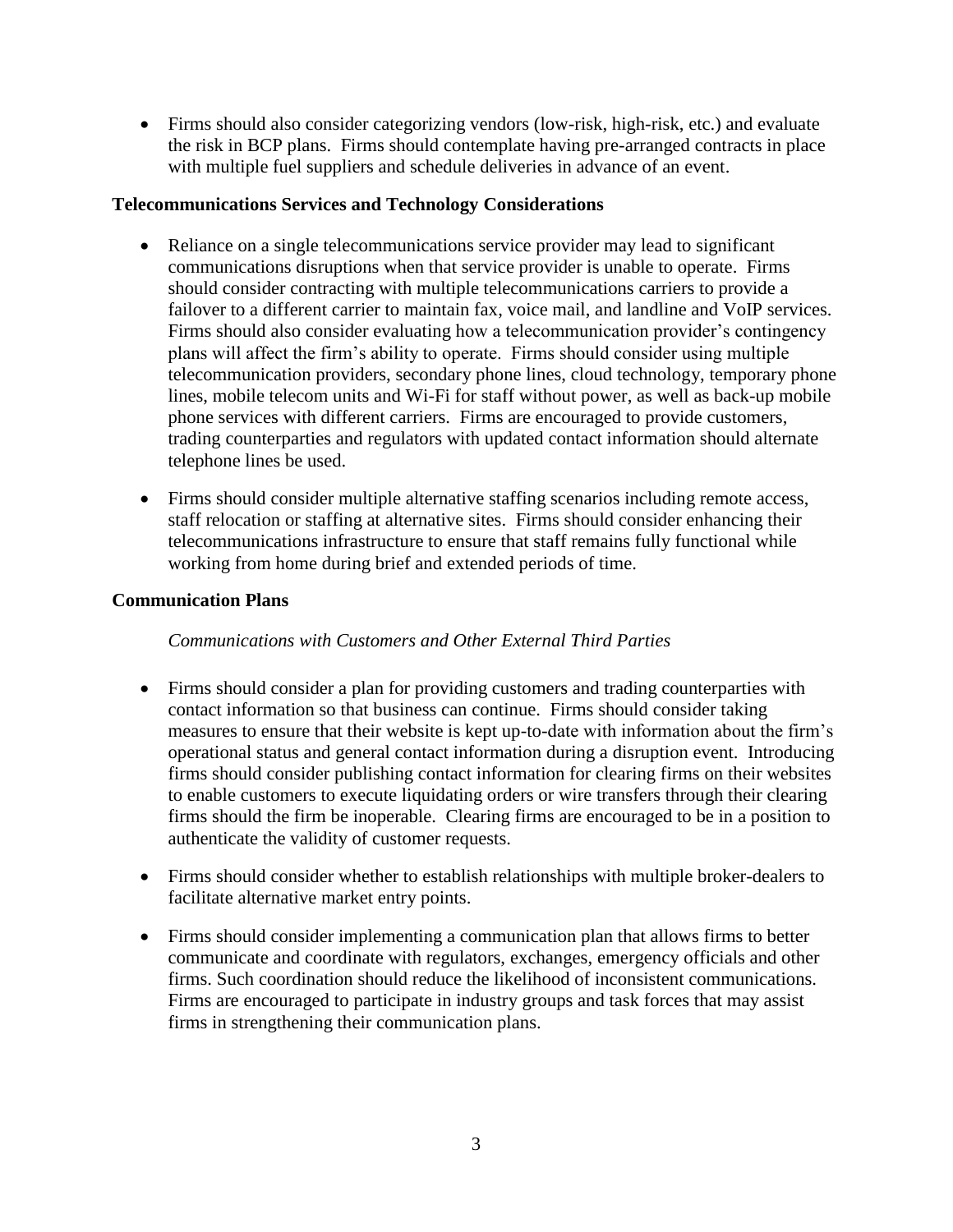Firms should also consider categorizing vendors (low-risk, high-risk, etc.) and evaluate the risk in BCP plans. Firms should contemplate having pre-arranged contracts in place with multiple fuel suppliers and schedule deliveries in advance of an event.

### **Telecommunications Services and Technology Considerations**

- Reliance on a single telecommunications service provider may lead to significant communications disruptions when that service provider is unable to operate. Firms should consider contracting with multiple telecommunications carriers to provide a failover to a different carrier to maintain fax, voice mail, and landline and VoIP services. Firms should also consider evaluating how a telecommunication provider's contingency plans will affect the firm's ability to operate. Firms should consider using multiple telecommunication providers, secondary phone lines, cloud technology, temporary phone lines, mobile telecom units and Wi-Fi for staff without power, as well as back-up mobile phone services with different carriers. Firms are encouraged to provide customers, trading counterparties and regulators with updated contact information should alternate telephone lines be used.
- Firms should consider multiple alternative staffing scenarios including remote access, staff relocation or staffing at alternative sites. Firms should consider enhancing their telecommunications infrastructure to ensure that staff remains fully functional while working from home during brief and extended periods of time.

### **Communication Plans**

*Communications with Customers and Other External Third Parties*

- Firms should consider a plan for providing customers and trading counterparties with contact information so that business can continue. Firms should consider taking measures to ensure that their website is kept up-to-date with information about the firm's operational status and general contact information during a disruption event. Introducing firms should consider publishing contact information for clearing firms on their websites to enable customers to execute liquidating orders or wire transfers through their clearing firms should the firm be inoperable. Clearing firms are encouraged to be in a position to authenticate the validity of customer requests.
- Firms should consider whether to establish relationships with multiple broker-dealers to facilitate alternative market entry points.
- Firms should consider implementing a communication plan that allows firms to better communicate and coordinate with regulators, exchanges, emergency officials and other firms. Such coordination should reduce the likelihood of inconsistent communications. Firms are encouraged to participate in industry groups and task forces that may assist firms in strengthening their communication plans.